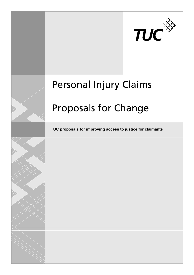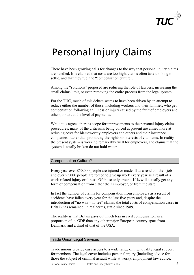

# Personal Injury Claims

There have been growing calls for changes to the way that personal injury claims are handled. It is claimed that costs are too high, claims often take too long to settle, and that they fuel the "compensation culture".

Among the "solutions" proposed are reducing the role of lawyers, increasing the small claims limit, or even removing the entire process from the legal system.

For the TUC, much of this debate seems to have been driven by an attempt to reduce either the number of those, including workers and their families, who get compensation following an illness or injury caused by the fault of employers and others, or to cut the level of payments.

While it is agreed there is scope for improvements to the personal injury claims procedures, many of the criticisms being voiced at present are aimed more at reducing costs for blameworthy employers and others and their insurance companies, rather than promoting the rights or interests of claimants. In reality the present system is working remarkably well for employers, and claims that the system is totally broken do not hold water.

## Compensation Culture?

Every year over 850,000 people are injured or made ill as a result of their job and over 25,000 people are forced to give up work every year as a result of a work-related injury or illness. Of those only around 10% will actually get any form of compensation from either their employer, or from the state.

In fact the number of claims for compensation from employers as a result of accidents have fallen every year for the last five years and, despite the introduction of "no win – no fee" claims, the total costs of compensation cases in Britain has remained, in real terms, static since 1989.

The reality is that Britain pays out much less in civil compensation as a proportion of its GDP than any other major European country apart from Denmark, and a third of that of the USA.

## Trade Union Legal Services

Trade unions provide easy access to a wide range of high quality legal support for members. The legal cover includes personal injury (including advice for those the subject of criminal assault while at work), employment law advice,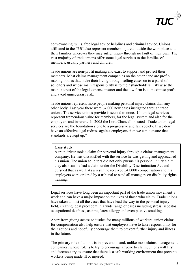

conveyancing, wills, free legal advice helplines and criminal advice. Unions affiliated to the TUC also represent members injured outside the workplace and their families wherever they may suffer injury through no fault of their own. The vast majority of trade unions offer some legal services to the families of members, usually partners and children.

Trade unions are non-profit making and exist to support and protect their members. Most claims management companies on the other hand are profitmaking bodies that make their living through selling cases on to a panel of solicitors and whose main responsibility is to their shareholders. Likewise the main interest of the legal expense insurer and the law firm is to maximise profit and avoid unnecessary risk.

Trade unions represent more people making personal injury claims than any other body. Last year there were 64,000 new cases instigated through trade unions. The service unions provide is second to none. Union legal services represent tremendous value for members, for the legal system and also for the employers and insurers. In 2005 the Lord Chancellor stated "Trade union legal services are the foundation stone to a progressive and fair society. If we don't have an effective legal redress against employers then we can't ensure that standards are kept up."

#### **Case study**

A train driver took a claim for personal injury through a claims management company. He was dissatisfied with the service he was getting and approached his union. The union solicitors did not only pursue his personal injury claim, they also saw he had a claim under the Disability Discrimination Act and pursued that as well. As a result he received £41,000 compensation and his employers were ordered by a tribunal to send all managers on disability rights training.

Legal services have long been an important part of the trade union movement's work and can have a major impact on the lives of those who claim. Trade unions have taken almost all the cases that have lead the way in the personal injury field, creating legal precedent in a wide range of cases including stress, asbestos, occupational deafness, asthma, latex allergy and even passive smoking.

Apart from giving access to justice for many millions of workers, union claims for compensation also help ensure that employers have to take responsibility for their actions and hopefully encourage them to prevent further injury and illness in the future.

The primary role of unions is in prevention and, unlike most claims management companies, whose role is to try to encourage anyone to claim, unions will first and foremost try to ensure that there is a safe working environment that prevents workers being made ill or injured.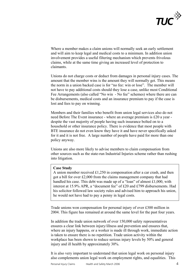

Where a member makes a claim unions will normally seek an early settlement and will aim to keep legal and medical costs to a minimum. In addition union involvement provides a useful filtering mechanism which prevents frivolous claims, while at the same time giving an increased level of protection to claimants.

Unions do not charge costs or deduct from damages in personal injury cases. The amount that the member wins is the amount they will normally get. This means the norm in a union backed case is for "no fee: win or lose". The member will not have to pay additional costs should they lose a case, unlike most Conditional Fee Arrangements (also called "No win - No fee" schemes) where there are can be disbursements, medical costs and an insurance premium to pay if the case is lost and fees to pay on winning.

Members and their families who benefit from union legal services also do not need Before The Event insurance - where an average premium is £20 a year despite the vast majority of people having such insurance bolted on to a household or other insurance policy. There is evidence that most people with BTE insurance do not even know they have it and have never specifically asked for it and it is not free. A large number of people have paid for more than one policy anyway.

Unions are also more likely to advise members to claim compensation from other sources such as the state-run Industrial Injuries scheme rather than rushing into litigation.

#### **Case Study**

A union member received £1,250 in compensation after a car crash, and then got a bill for over £2,000 from the claims management company that had handled his case. This debt was made up of a "loan" of almost £1,000, with interest at 15.9% APR, a "document fee" of £20 and £799 disbursements. Had his solicitor followed law society rules and advised him to approach his union, he would not have had to pay a penny in legal costs.

Trade unions won compensation for personal injury of over £300 million in 2004. This figure has remained at around the same level for the past four years.

In addition the trade union network of over 150,000 safety representatives ensures a clear link between injury/illness and prevention and ensures that, where an injury happens, or a worker is made ill through work, immediate action is taken to ensure there is no repetition. Trade union activity within the workplace has been shown to reduce serious injury levels by 50% and general injury and ill health by approximately 30%.

It is also very important to understand that union legal work on personal injury also complements union legal work on employment rights, and equalities. This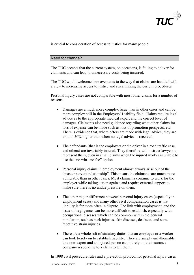

is crucial to consideration of access to justice for many people.

# Need for change?

The TUC accepts that the current system, on occasions, is failing to deliver for claimants and can lead to unnecessary costs being incurred.

The TUC would welcome improvements to the way that claims are handled with a view to increasing access to justice and streamlining the current procedures.

Personal Injury cases are not comparable with most other claims for a number of reasons.

- Damages are a much more complex issue than in other cases and can be more complex still in the Employers' Liability field. Claims require legal advice as to the appropriate medical expert and the correct level of damages. Claimants also need guidance regarding what other claims for loss of expense can be made such as loss of promotion prospects, etc. There is evidence that, where offers are made with legal advice, they are around 50% higher than when no legal advice is received.
- The defendants (that is the employers or the driver in a road traffic case and others) are invariably insured. They therefore will instruct lawyers to represent them, even in small claims when the injured worker is unable to use the "no win - no fee" option.
- Personal injury claims in employment almost always arise out of the "master-servant relationship". This means the claimants are much more vulnerable than in other cases. Most claimants continue to work for the employer while taking action against and require external support to make sure there is no undue pressure on them.
- The other major difference between personal injury cases (especially in employment cases) and many other civil compensation cases is that liability is far more often in dispute. The link with employment, and the issue of negligence, can be more difficult to establish, especially with occupational diseases which can be common within the general population, such as back injuries, skin diseases, deafness, and some repetitive strain injuries.
- There are a whole raft of statutory duties that an employee or a worker can look to rely on to establish liability. They are simply unfathomable to a non-expert and an injured person cannot rely on the insurance company responding to a claim to tell them.

In 1998 civil procedure rules and a pre-action protocol for personal injury cases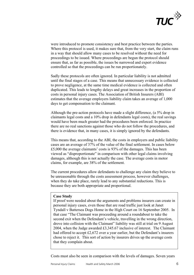

were introduced to promote consistency and best practice between the parties. Where this protocol is used, it makes sure that, from the very start, the claim runs in a way that should allow many cases to be resolved without the need for proceedings to be issued. Where proceedings are begun the protocol should ensure that, as far as possible, the issues be narrowed and expert evidence controlled so that the proceedings can be run proportionately.

Sadly these protocols are often ignored. In particular liability is not admitted until the final stages of a case. This means that unnecessary evidence is collected to prove negligence, at the same time medical evidence is collected and often duplicated. This leads to lengthy delays and great increases in the proportion of costs in personal injury cases. The Association of British Insurers (ABI) estimates that the average employers liability claim takes an average of 1,000 days to get compensation to the claimant.

Although the pre-action protocols have made a slight difference, (a 5% drop in claimants legal costs and a 10% drop in defendants legal costs), the real savings would have been much greater had the procedures been enforced. In practice there are no real sanctions against those who do not follow the procedures, and there is evidence that, in many cases, it is simply ignored by the defendants.

This means that, according to the ABI, the costs in employers and public liability cases are an average of 37% of the value of the final settlement. In cases below £5,000 the average claimants' costs is 93% of the damages. This has been viewed as "disproportionate" in comparison with other legal claims involving damages, although this is not actually the case. The average costs in motor claims, for example, are 38% of the settlement.

The current procedures allow defendants to challenge any claim they believe to be unreasonable through the costs assessment process, however challenges, when they do take place, rarely lead to any substantial reductions. This is because they are both appropriate and proportional.

#### **Case Study**

If proof were needed about the arguments and problems insurers can create in personal injury cases, even those that are road traffic just look at Janet Tyndall v Battersea Dogs Home in the High Court on 16 September 2005. In that case "The Claimant was proceeding around a roundabout to take the second exit when the Defendant's vehicle, travelling in the wrong direction, drove into collision with the Claimant" liability was still at trial on 9 August 2004, when the Judge awarded £3,345.67 inclusive of interest. The Claimant had offered to accept £2,672 over a year earlier, but the Defendant's insurers chose to reject it. This sort of action by insurers drives up the average costs that they complain about.

Costs must also be seen in comparison with the levels of damages. Seven years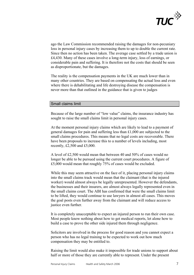

ago the Law Commission recommended raising the damages for non-pecuniary loss in personal injury cases by increasing them to up to double the current rate. Since then no action has been taken. The average case settled by a trade union is £4,430. Many of these cases involve a long-term injury, loss of earnings, or considerable pain and suffering. It is therefore not the costs that should be seen as disproportionate, but the damages.

The reality is the compensation payments in the UK are much lower than in many other countries. They are based on compensating the actual loss and even where there is dehabilitating and life destroying disease the compensation is never more than that outlined in the guidance that is given to judges

#### Small claims limit

Because of the large number of "low value" claims, the insurance industry has sought to raise the small claims limit in personal injury cases.

At the moment personal injury claims which are likely to lead to a payment of general damages for pain and suffering less than £1,000 are subjected to the small claims procedures. This means that no legal costs are recoverable. There have been proposals to increase this to a number of levels including, most recently, £2,500 and £5,000.

A level of £2,500 would mean that between 40 and 50% of cases would no longer be able to be pursued using the current court procedures. A figure of £5,000 would mean that roughly 75% of cases would be excluded.

While this may seem attractive on the face of it, placing personal injury claims into the small claims track would mean that the claimant (that is the injured worker) would almost always be legally unrepresented. However the defendants, the businesses and their insurers, are almost always legally represented even in the small claims court. The ABI has confirmed that were the small claims limit to be lifted, they would continue to use lawyers in almost all cases. This moves the goal posts even further away from the claimant and will reduce access to justice even further.

It is completely unacceptable to expect an injured person to run their own case. Most people know nothing about how to get medical reports, let alone how to build a case to prove the other side injured them through negligence.

Solicitors are involved in the process for good reason and you cannot expect a person who has no legal training to be expected to work out how much compensation they may be entitled to.

Raising the limit would also make it impossible for trade unions to support about half or more of those they are currently able to represent. Under the present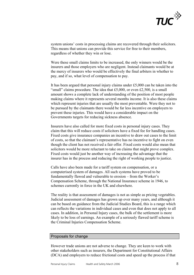

system unions' costs in processing claims are recovered through their solicitors. This means that unions can provide this service for free to their members, regardless of whether they win or lose.

Were these small claims limits to be increased, the only winners would be the insurers and those employers who are negligent. Instead claimants would be at the mercy of insurers who would be effectively the final arbiters in whether to pay, and if so, what level of compensation to pay.

It has been argued that personal injury claims under £5,000 can be taken into the "small" claims procedure. The idea that £5,000, or even £2,500, is a small amount shows a complete lack of understanding of the position of most people making claims where it represents several months income. It is also these claims which represent injuries that are usually the most preventable. Were they not to be pursued by the claimants there would be far less incentive on employers to prevent these injuries. This would have a considerable impact on the Governments targets for reducing sickness absence.

Insurers have also called for more fixed costs in personal injury cases. They claim that this will reduce costs if solicitors have a fixed fee for handling cases. Fixed costs give insurance companies an incentive to draw out cases to the limit of costs, so that the claimant's representative has no incentive to fight on even though the client has not received a fair offer. Fixed costs would also mean that solicitors would be more reluctant to take on claims that might prove complex. Fixed costs would just be another way of increasing the advantage that the insurer has in the process and reducing the right of working people to justice.

Calls have also been made for a tariff system on compensation, or a computerised system of damages. All such systems have proved to be fundamentally flawed and vulnerable to erosion – from the Worker's Compensation Scheme, through the National Insurance scheme in 1946, to schemes currently in force in the UK and elsewhere.

The reality is that assessment of damages is not as simple as pricing vegetables. Judicial assessment of damages has grown up over many years, and although it can be based on guidance from the Judicial Studies Board, this is a range which can reflects the variations in individual cases and even that does not apply to all cases. In addition, in Personal Injury cases, the bulk of the settlement is more likely to be loss of earnings. An example of a seriously flawed tariff scheme is the Criminal Injuries Compensation Scheme.

#### Proposals for change

However trade unions are not adverse to change. They are keen to work with other stakeholders such as insurers, the Department for Constitutional Affairs (DCA) and employers to reduce frictional costs and speed up the process if that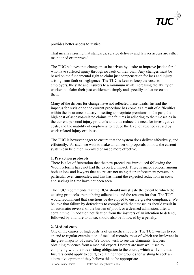

provides better access to justice.

That means ensuring that standards, service delivery and lawyer access are either maintained or improved.

The TUC believes that change must be driven by desire to improve justice for all who have suffered injury through no fault of their own. Any changes must be based on the fundamental right to claim just compensation for loss and injury arising from fault or negligence. The TUC is keen to keep the costs to employers, the state and insurers to a minimum while increasing the ability of workers to claim their just entitlement simply and speedily and at no cost to them.

Many of the drivers for change have not reflected these ideals. Instead the impetus for revision to the current procedure has come as a result of difficulties within the insurance industry in setting appropriate premiums in the past, the high cost of asbestos-related claims, the failures in adhering to the timescales in the current personal injury protocols and thus reduce the need for investigative costs, and the inability of employers to reduce the level of absence caused by work-related injury or illness.

The TUC is however eager to ensure that the system does deliver effectively, and efficiently. As such we wish to make a number of proposals on how the current system can be either improved or made more effective.

#### **1. Pre action protocols**

There is a lot of frustration that the new procedures introduced following the Woolf reforms have not had the expected impact. There is major concern among both unions and lawyers that courts are not using their enforcement powers, in particular over timescales, and this has meant the expected reductions in costs and savings in time have not been seen.

The TUC recommends that the DCA should investigate the extent to which the existing protocols are not being adhered to, and the reasons for that. The TUC would recommend that sanctions be developed to ensure greater compliance. We believe that failure by defendants to comply with the timescales should result in an automatic reversal of the burden of proof, or a deemed admission, after a certain time. In addition notification from the insurers of an intention to defend, followed by a failure to do so, should also be followed by a penalty.

## **2. Medical costs**

One of the causes of high costs is often medical reports. The TUC wishes to see an end to regular examination of medical records, most of which are irrelevant in the great majority of cases. We would wish to see the claimants' lawyers obtaining evidence from a medical expert. Doctors are now well used to complying with their overriding obligation to the courts, which will continue. Insurers could apply to court, explaining their grounds for wishing to seek an alternative opinion if they believe this to be appropriate.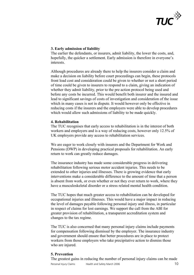

# **3. Early admission of liability**

The earlier the defendants, or insurers, admit liability, the lower the costs, and, hopefully, the quicker a settlement. Early admission is therefore in everyone's interests.

Although procedures are already there to help the insurers consider a claim and make a decision on liability before court proceedings can begin, these protocols front load cost and consideration could be given to whether or not a short period of time could be given to insurers to respond to a claim, giving an indication of whether they admit liability, prior to the pre action protocol being used and before any costs be incurred. This would benefit both insurer and the insured and lead to significant savings of costs of investigation and consideration of the issue which in many cases is not in dispute. It would however only be effective in reducing costs if the insurers and the employers were able to develop procedures which would allow such admissions of liability to be made quickly.

## **4. Rehabilitation**

The TUC recognises that early access to rehabilitation is in the interest of both workers and employers and is a way of reducing costs, however only 12.5% of UK employers provide any access to rehabilitation services.

We are eager to work closely with insurers and the Department for Work and Pensions (DWP) in developing practical proposals for rehabilitation. An early return to work can greatly reduce damages.

The insurance industry has made some considerable progress in delivering rehabilitation following serious motor accident injuries. This needs to be extended to other injuries and illnesses. There is growing evidence that early interventions make a considerable difference to the amount of time that a person is absent from work, or even whether or not they ever return to work, where they have a musculoskeletal disorder or a stress related mental health condition.

The TUC hopes that much greater access to rehabilitation can be developed for occupational injuries and illnesses. This would have a major impact in reducing the level of damages payable following personal injury and illness, in particular in respect of claims for lost earnings. We support the call from the ABI for greater provision of rehabilitation, a transparent accreditation system and changes to the tax regime.

The TUC is also concerned that many personal injury claims include payments for compensation following dismissal by the employer. The insurance industry and government should ensure that better procedures are in place to protect workers from those employers who take precipitative action to dismiss those who are injured.

# **5. Prevention**

Personal Injury Claims and Health and Safety March 2006 10 The greatest gains in reducing the number of personal injury claims can be made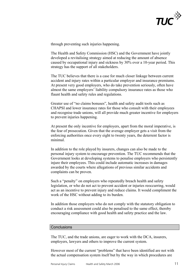

through preventing such injuries happening.

The Health and Safety Commission (HSC) and the Government have jointly developed a revitalising strategy aimed at reducing the amount of absence caused by occupational injury and sickness by 30% over a 10-year period. This strategy has the support of all stakeholders.

The TUC believes that there is a case for much closer linkage between current accident and injury rates within a particular employer and insurance premiums. At present very good employers, who do take prevention seriously, often have almost the same employers' liability compulsory insurance rates as those who flaunt health and safety rules and regulations.

Greater use of "no claims bonuses", health and safety audit tools such as CHAPSI and lower insurance rates for those who consult with their employees and recognise trade unions, will all provide much greater incentive for employers to prevent injuries happening.

At present the only incentive for employers, apart from the moral imperative, is the fear of prosecution. Given that the average employer gets a visit from the enforcing authorities once every eight to twenty years, the deterrent factor is minimal.

In addition to the role played by insurers, changes can also be made to the personal injury system to encourage prevention. The TUC recommends that the Government looks at developing systems to penalise employers who persistently injure their employees. This could include automatic increases in damages awarded by the courts where allegations of previous similar accidents and complaints can be proven.

Such a "penalty" on employers who repeatedly breach health and safety legislation, or who do not act to prevent accident or injuries reoccurring, would act as an incentive to prevent injury and reduce claims. It would compliment the work of the HSC without adding to its burden.

In addition those employers who do not comply with the statutory obligation to conduct a risk assessment could also be penalised to the same effect, thereby encouraging compliance with good health and safety practice and the law.

#### **Conclusions**

The TUC, and the trade unions, are eager to work with the DCA, insurers, employers, lawyers and others to improve the current system.

However most of the current "problems" that have been identified are not with the actual compensation system itself but by the way in which procedures are